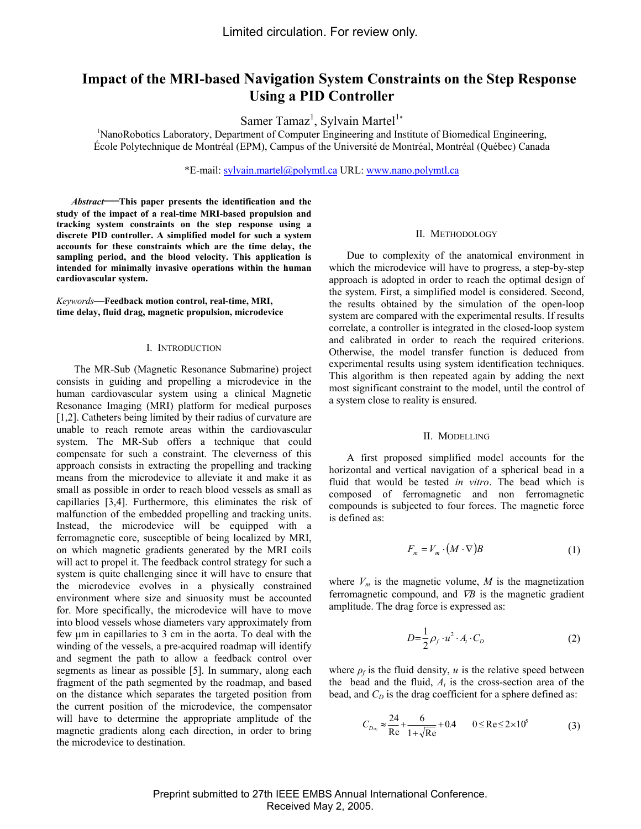# **Impact of the MRI-based Navigation System Constraints on the Step Response Using a PID Controller**

Samer Tamaz<sup>1</sup>, Sylvain Martel<sup>1\*</sup>

<sup>1</sup>NanoRobotics Laboratory, Department of Computer Engineering and Institute of Biomedical Engineering, École Polytechnique de Montréal (EPM), Campus of the Université de Montréal, Montréal (Québec) Canada

\*E-mail: sylvain.martel@polymtl.ca URL: www.nano.polymtl.ca

*Abstract***—This paper presents the identification and the study of the impact of a real-time MRI-based propulsion and tracking system constraints on the step response using a discrete PID controller. A simplified model for such a system accounts for these constraints which are the time delay, the sampling period, and the blood velocity. This application is intended for minimally invasive operations within the human cardiovascular system.** 

*Keywords*—**Feedback motion control, real-time, MRI, time delay, fluid drag, magnetic propulsion, microdevice** 

#### I. INTRODUCTION

 The MR-Sub (Magnetic Resonance Submarine) project consists in guiding and propelling a microdevice in the human cardiovascular system using a clinical Magnetic Resonance Imaging (MRI) platform for medical purposes [1,2]. Catheters being limited by their radius of curvature are unable to reach remote areas within the cardiovascular system. The MR-Sub offers a technique that could compensate for such a constraint. The cleverness of this approach consists in extracting the propelling and tracking means from the microdevice to alleviate it and make it as small as possible in order to reach blood vessels as small as capillaries [3,4]. Furthermore, this eliminates the risk of malfunction of the embedded propelling and tracking units. Instead, the microdevice will be equipped with a ferromagnetic core, susceptible of being localized by MRI, on which magnetic gradients generated by the MRI coils will act to propel it. The feedback control strategy for such a system is quite challenging since it will have to ensure that the microdevice evolves in a physically constrained environment where size and sinuosity must be accounted for. More specifically, the microdevice will have to move into blood vessels whose diameters vary approximately from few µm in capillaries to 3 cm in the aorta. To deal with the winding of the vessels, a pre-acquired roadmap will identify and segment the path to allow a feedback control over segments as linear as possible [5]. In summary, along each fragment of the path segmented by the roadmap, and based on the distance which separates the targeted position from the current position of the microdevice, the compensator will have to determine the appropriate amplitude of the magnetic gradients along each direction, in order to bring the microdevice to destination.

## II. METHODOLOGY

 Due to complexity of the anatomical environment in which the microdevice will have to progress, a step-by-step approach is adopted in order to reach the optimal design of the system. First, a simplified model is considered. Second, the results obtained by the simulation of the open-loop system are compared with the experimental results. If results correlate, a controller is integrated in the closed-loop system and calibrated in order to reach the required criterions. Otherwise, the model transfer function is deduced from experimental results using system identification techniques. This algorithm is then repeated again by adding the next most significant constraint to the model, until the control of a system close to reality is ensured.

#### II. MODELLING

 A first proposed simplified model accounts for the horizontal and vertical navigation of a spherical bead in a fluid that would be tested *in vitro*. The bead which is composed of ferromagnetic and non ferromagnetic compounds is subjected to four forces. The magnetic force is defined as:

$$
F_m = V_m \cdot (M \cdot \nabla) B \tag{1}
$$

where  $V_m$  is the magnetic volume,  $M$  is the magnetization ferromagnetic compound, and ∇*B* is the magnetic gradient amplitude. The drag force is expressed as:

$$
D = \frac{1}{2}\rho_f \cdot u^2 \cdot A_t \cdot C_D \tag{2}
$$

where  $\rho_f$  is the fluid density, *u* is the relative speed between the bead and the fluid,  $A_t$  is the cross-section area of the bead, and  $C_D$  is the drag coefficient for a sphere defined as:

$$
C_{D_{\infty}} \approx \frac{24}{\text{Re}} + \frac{6}{1 + \sqrt{\text{Re}}} + 0.4 \qquad 0 \le \text{Re} \le 2 \times 10^5 \tag{3}
$$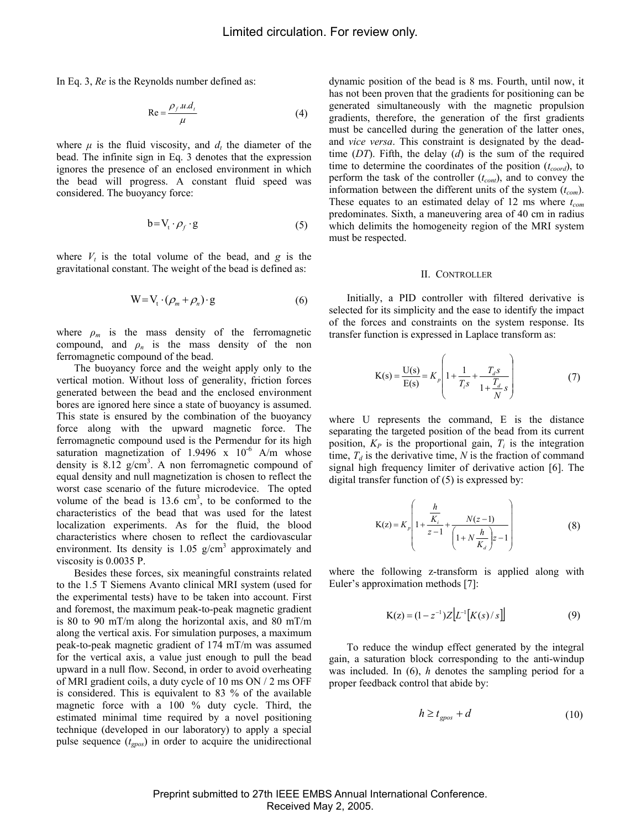In Eq. 3, *Re* is the Reynolds number defined as:

$$
Re = \frac{\rho_f u.d_t}{\mu}
$$
 (4)

where  $\mu$  is the fluid viscosity, and  $d_t$  the diameter of the bead. The infinite sign in Eq. 3 denotes that the expression ignores the presence of an enclosed environment in which the bead will progress. A constant fluid speed was considered. The buoyancy force:

$$
b = V_t \cdot \rho_f \cdot g \tag{5}
$$

where  $V_t$  is the total volume of the bead, and  $g$  is the gravitational constant. The weight of the bead is defined as:

$$
W = V_t \cdot (\rho_m + \rho_n) \cdot g \tag{6}
$$

where  $\rho_m$  is the mass density of the ferromagnetic compound, and  $\rho_n$  is the mass density of the non ferromagnetic compound of the bead.

The buoyancy force and the weight apply only to the vertical motion. Without loss of generality, friction forces generated between the bead and the enclosed environment bores are ignored here since a state of buoyancy is assumed. This state is ensured by the combination of the buoyancy force along with the upward magnetic force. The ferromagnetic compound used is the Permendur for its high saturation magnetization of 1.9496 x  $10^{-6}$  A/m whose density is  $8.12$  g/cm<sup>3</sup>. A non ferromagnetic compound of equal density and null magnetization is chosen to reflect the worst case scenario of the future microdevice. The opted volume of the bead is  $13.6 \text{ cm}^3$ , to be conformed to the characteristics of the bead that was used for the latest localization experiments. As for the fluid, the blood characteristics where chosen to reflect the cardiovascular environment. Its density is  $1.05$  g/cm<sup>3</sup> approximately and viscosity is 0.0035 P.

Besides these forces, six meaningful constraints related to the 1.5 T Siemens Avanto clinical MRI system (used for the experimental tests) have to be taken into account. First and foremost, the maximum peak-to-peak magnetic gradient is 80 to 90 mT/m along the horizontal axis, and 80 mT/m along the vertical axis. For simulation purposes, a maximum peak-to-peak magnetic gradient of 174 mT/m was assumed for the vertical axis, a value just enough to pull the bead upward in a null flow. Second, in order to avoid overheating of MRI gradient coils, a duty cycle of 10 ms ON / 2 ms OFF is considered. This is equivalent to 83 % of the available magnetic force with a 100 % duty cycle. Third, the estimated minimal time required by a novel positioning technique (developed in our laboratory) to apply a special pulse sequence (*tgpos*) in order to acquire the unidirectional dynamic position of the bead is 8 ms. Fourth, until now, it has not been proven that the gradients for positioning can be generated simultaneously with the magnetic propulsion gradients, therefore, the generation of the first gradients must be cancelled during the generation of the latter ones, and *vice versa*. This constraint is designated by the deadtime (*DT*). Fifth, the delay (*d*) is the sum of the required time to determine the coordinates of the position  $(t_{coord})$ , to perform the task of the controller  $(t_{cont})$ , and to convey the information between the different units of the system  $(t_{com})$ . These equates to an estimated delay of 12 ms where  $t_{com}$ predominates. Sixth, a maneuvering area of 40 cm in radius which delimits the homogeneity region of the MRI system must be respected.

## II. CONTROLLER

Initially, a PID controller with filtered derivative is selected for its simplicity and the ease to identify the impact of the forces and constraints on the system response. Its transfer function is expressed in Laplace transform as:

$$
K(s) = \frac{U(s)}{E(s)} = K_p \left( 1 + \frac{1}{T_i s} + \frac{T_d s}{1 + \frac{T_d}{N} s} \right)
$$
(7)

where U represents the command, E is the distance separating the targeted position of the bead from its current position,  $K_P$  is the proportional gain,  $T_i$  is the integration time,  $T_d$  is the derivative time, N is the fraction of command signal high frequency limiter of derivative action [6]. The digital transfer function of (5) is expressed by:

$$
K(z) = K_p \left( 1 + \frac{\frac{h}{K_i}}{z - 1} + \frac{N(z - 1)}{\left( 1 + N \frac{h}{K_d} \right) z - 1} \right)
$$
(8)

where the following z-transform is applied along with Euler's approximation methods [7]:

$$
K(z) = (1 - z^{-1})Z \Big[ L^{-1} \big[ K(s) / s \big] \Big]
$$
 (9)

To reduce the windup effect generated by the integral gain, a saturation block corresponding to the anti-windup was included. In (6), *h* denotes the sampling period for a proper feedback control that abide by:

$$
h \ge t_{\text{gpos}} + d \tag{10}
$$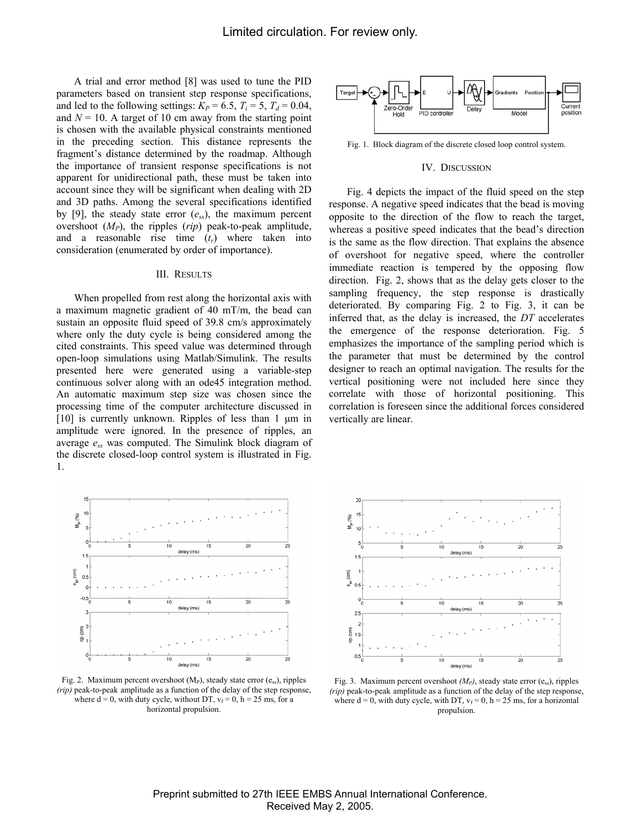A trial and error method [8] was used to tune the PID parameters based on transient step response specifications, and led to the following settings:  $K_p = 6.5$ ,  $T_i = 5$ ,  $T_d = 0.04$ , and  $N = 10$ . A target of 10 cm away from the starting point is chosen with the available physical constraints mentioned in the preceding section. This distance represents the fragment's distance determined by the roadmap. Although the importance of transient response specifications is not apparent for unidirectional path, these must be taken into account since they will be significant when dealing with 2D and 3D paths. Among the several specifications identified by [9], the steady state error  $(e_{ss})$ , the maximum percent overshoot (*MP*), the ripples (*rip*) peak-to-peak amplitude, and a reasonable rise time  $(t_r)$  where taken into consideration (enumerated by order of importance).

## III. RESULTS

When propelled from rest along the horizontal axis with a maximum magnetic gradient of 40 mT/m, the bead can sustain an opposite fluid speed of 39.8 cm/s approximately where only the duty cycle is being considered among the cited constraints. This speed value was determined through open-loop simulations using Matlab/Simulink. The results presented here were generated using a variable-step continuous solver along with an ode45 integration method. An automatic maximum step size was chosen since the processing time of the computer architecture discussed in [10] is currently unknown. Ripples of less than 1 µm in amplitude were ignored. In the presence of ripples, an average *ess* was computed. The Simulink block diagram of the discrete closed-loop control system is illustrated in Fig. 1.



Fig. 2. Maximum percent overshoot  $(M_P)$ , steady state error  $(e_{ss})$ , ripples *(rip)* peak-to-peak amplitude as a function of the delay of the step response, where  $d = 0$ , with duty cycle, without DT,  $v_f = 0$ ,  $h = 25$  ms, for a horizontal propulsion.



Fig. 1. Block diagram of the discrete closed loop control system.

## IV. DISCUSSION

 Fig. 4 depicts the impact of the fluid speed on the step response. A negative speed indicates that the bead is moving opposite to the direction of the flow to reach the target, whereas a positive speed indicates that the bead's direction is the same as the flow direction. That explains the absence of overshoot for negative speed, where the controller immediate reaction is tempered by the opposing flow direction. Fig. 2, shows that as the delay gets closer to the sampling frequency, the step response is drastically deteriorated. By comparing Fig. 2 to Fig. 3, it can be inferred that, as the delay is increased, the *DT* accelerates the emergence of the response deterioration. Fig. 5 emphasizes the importance of the sampling period which is the parameter that must be determined by the control designer to reach an optimal navigation. The results for the vertical positioning were not included here since they correlate with those of horizontal positioning. This correlation is foreseen since the additional forces considered vertically are linear.



Fig. 3. Maximum percent overshoot  $(M_P)$ , steady state error  $(e_{ss})$ , ripples *(rip)* peak-to-peak amplitude as a function of the delay of the step response, where  $d = 0$ , with duty cycle, with DT,  $v_f = 0$ ,  $h = 25$  ms, for a horizontal propulsion.